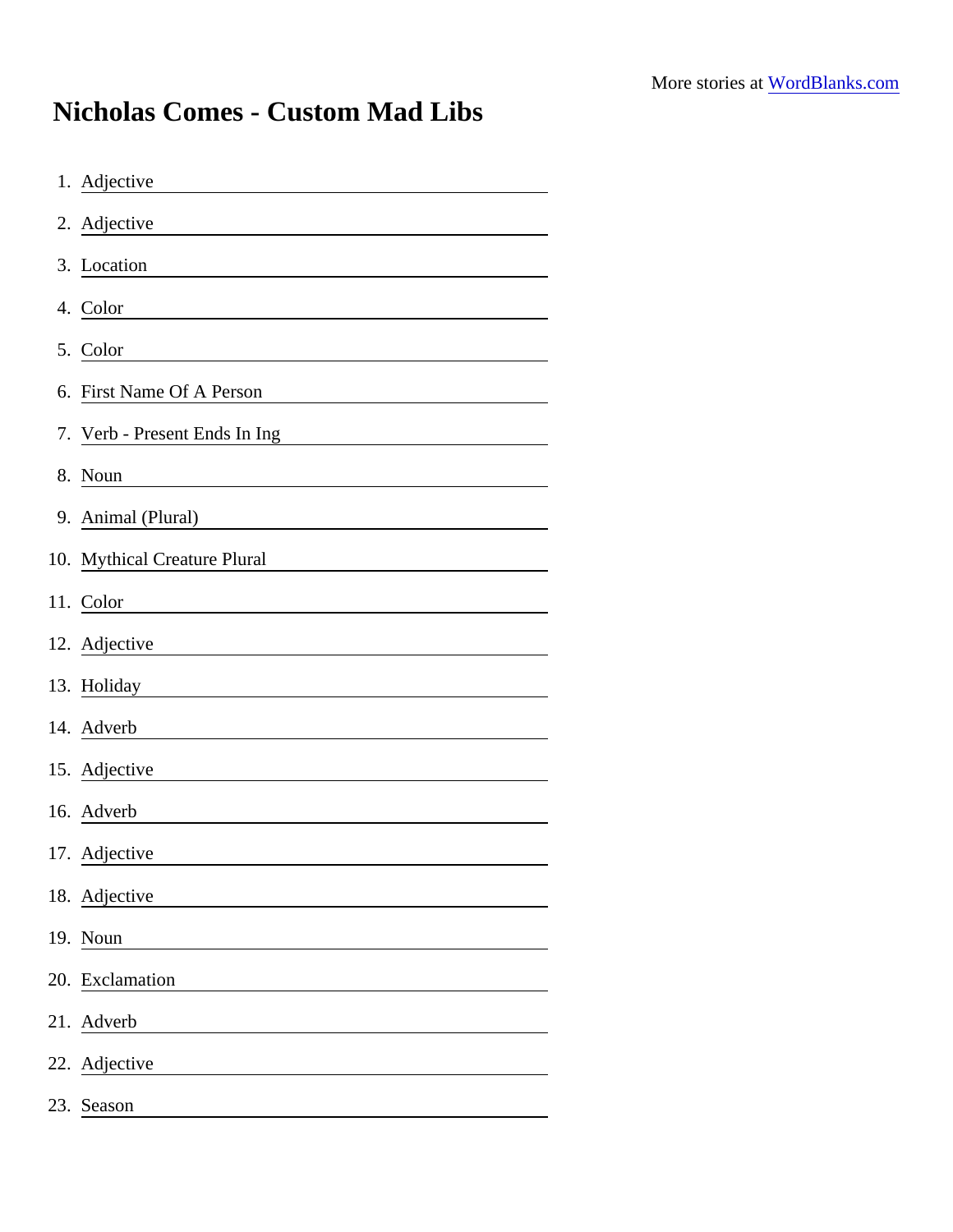## Nicholas Comes - Custom Mad Libs

| 1. Adjective                                                                                                                                     |
|--------------------------------------------------------------------------------------------------------------------------------------------------|
| 2. Adjective                                                                                                                                     |
| 3. Location                                                                                                                                      |
| 4. Color                                                                                                                                         |
| 5. Color<br><u> 1980 - Jan Samuel Barbara, político establecera en la propia de la propia de la propia de la propia de la pro</u>                |
| 6. First Name Of A Person<br><u> 1989 - Jan Sterling von Berger von Berger von Berger von Berger von Berger von Berger von Berger von Berger</u> |
| 7. Verb - Present Ends In Ing                                                                                                                    |
| 8. Noun                                                                                                                                          |
| 9. Animal (Plural)                                                                                                                               |
| 10. Mythical Creature Plural                                                                                                                     |
| 11. Color                                                                                                                                        |
| 12. Adjective                                                                                                                                    |
| 13. Holiday                                                                                                                                      |
| 14. Adverb                                                                                                                                       |
| 15. Adjective                                                                                                                                    |
| 16. Adverb                                                                                                                                       |
| 17. Adjective                                                                                                                                    |
| 18. Adjective                                                                                                                                    |
| 19. Noun                                                                                                                                         |
| 20. Exclamation                                                                                                                                  |
| 21. Adverb                                                                                                                                       |
| 22. Adjective                                                                                                                                    |
| 23. Season                                                                                                                                       |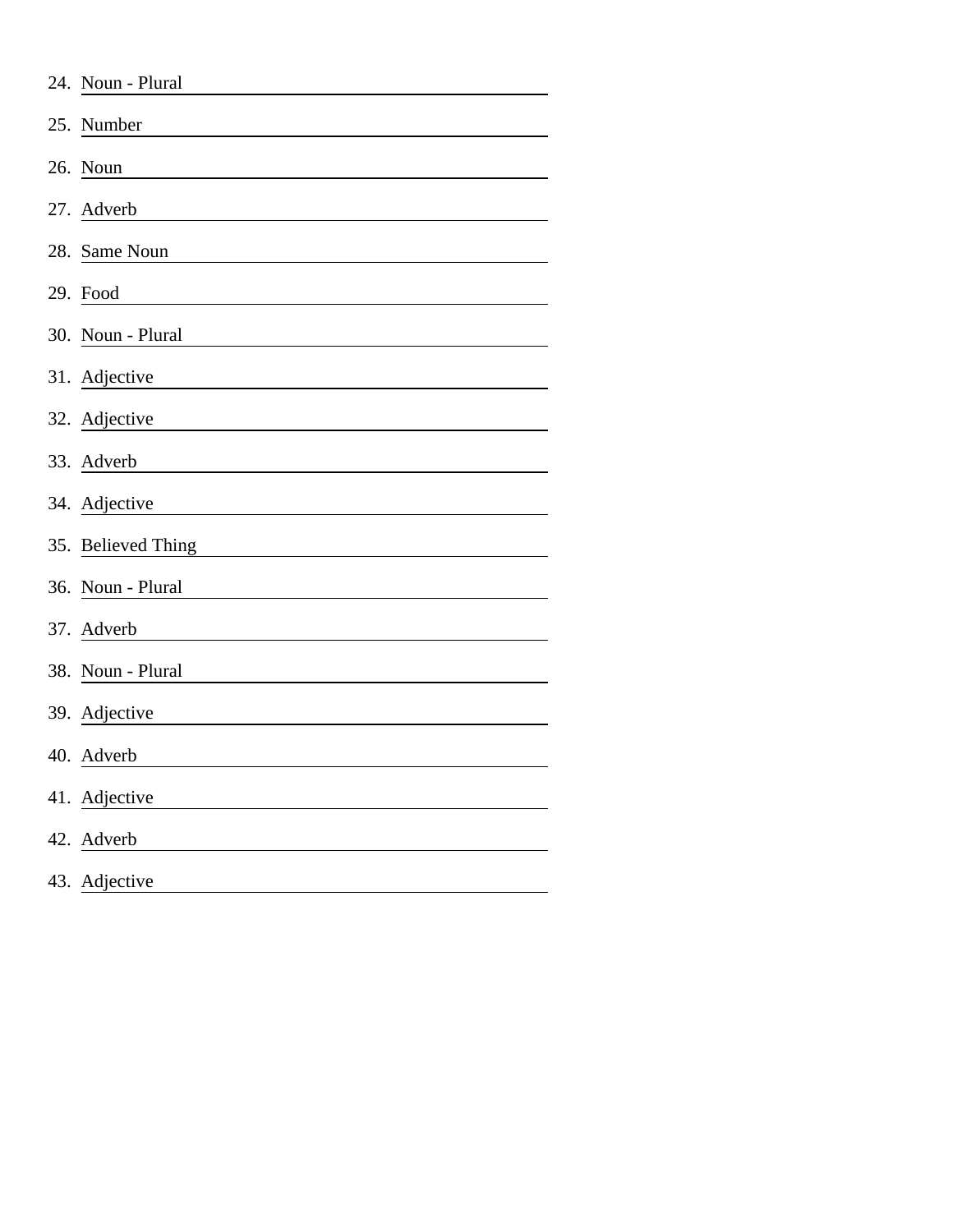|     | 24. Noun - Plural  |
|-----|--------------------|
| 25. | Number             |
|     | 26. Noun           |
|     | 27. Adverb         |
|     | 28. Same Noun      |
|     | 29. Food           |
|     | 30. Noun - Plural  |
|     | 31. Adjective      |
|     | 32. Adjective      |
|     | 33. Adverb         |
|     | 34. Adjective      |
|     | 35. Believed Thing |
|     | 36. Noun - Plural  |
|     | 37. Adverb         |
|     | 38. Noun - Plural  |
|     | 39. Adjective      |
|     | 40. Adverb         |
|     | 41. Adjective      |
|     | 42. Adverb         |
|     | 43. Adjective      |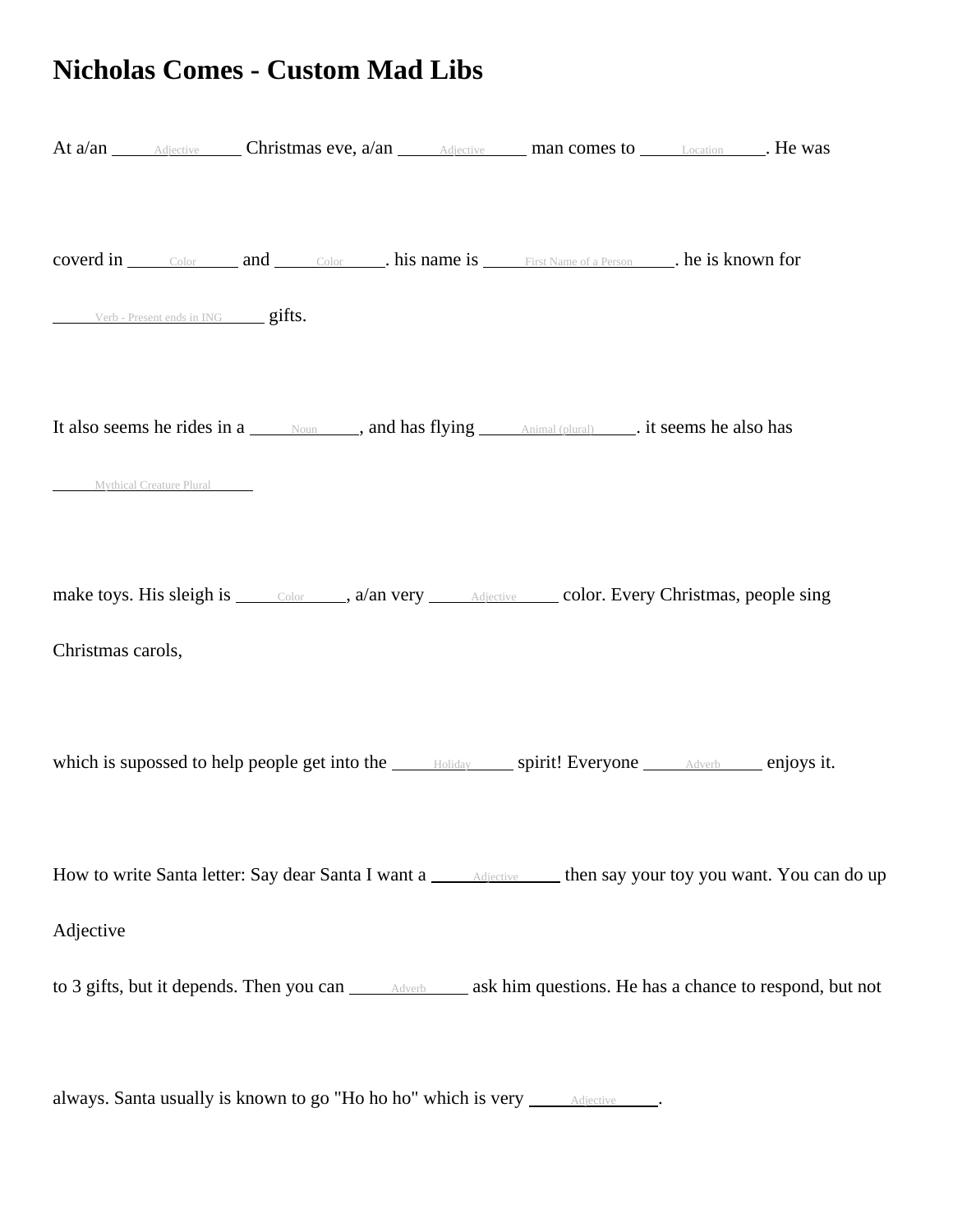## **Nicholas Comes - Custom Mad Libs**

| At a/an Adjective Christmas eve, a/an Adjective man comes to Location He was                                               |  |
|----------------------------------------------------------------------------------------------------------------------------|--|
| <b>coverd in</b> color and color his name is First Name of a Person help is known for<br>Verb - Present ends in ING gifts. |  |
| It also seems he rides in a Noum and has flying Animal (plural) it seems he also has<br>Mythical Creature Plural           |  |
| make toys. His sleigh is <u>color</u> a/an very <u>Adjective</u> color. Every Christmas, people sing<br>Christmas carols,  |  |
| which is supossed to help people get into the <b>Example 20</b> spirit! Everyone <u>Adverbering</u> enjoys it.             |  |
| How to write Santa letter: Say dear Santa I want a <b>Adjective</b> then say your toy you want. You can do up              |  |
| Adjective                                                                                                                  |  |
| always. Santa usually is known to go "Ho ho ho" which is very ______ Adjective _____.                                      |  |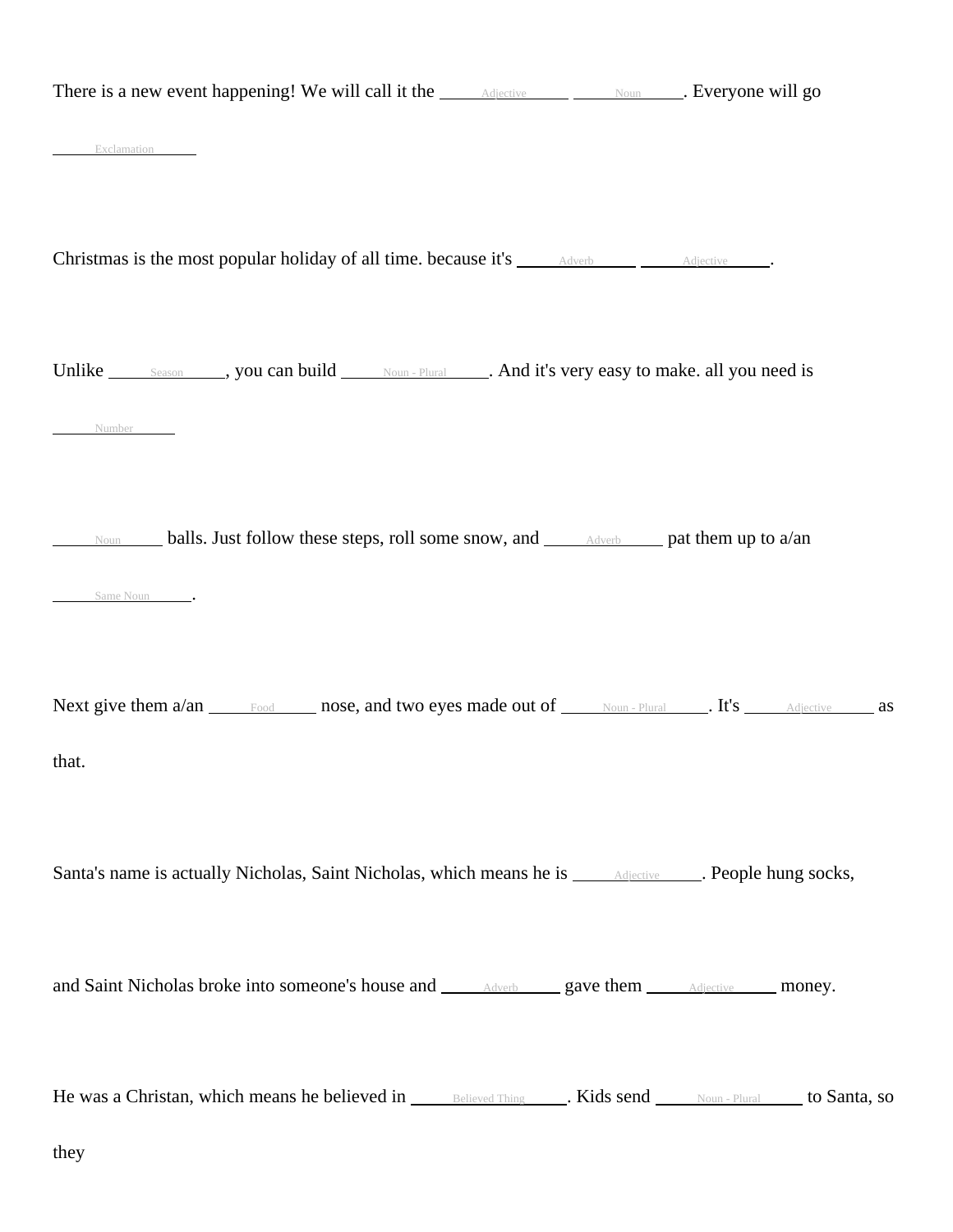| There is a new event happening! We will call it the Adjective Moun Moun Burn Reveryone will go                               |
|------------------------------------------------------------------------------------------------------------------------------|
| Exclamation                                                                                                                  |
| Christmas is the most popular holiday of all time. because it's <u>Adverband Adjective</u>                                   |
| Unlike Season , you can build <u>Noun - Plural</u> And it's very easy to make. all you need is<br>Number                     |
| Noun <b>Line 10 balls.</b> Just follow these steps, roll some snow, and <b>Advertisers</b> pat them up to a/an<br>Same Noun. |
| Next give them a/an Food nose, and two eyes made out of Noun-Plural . It's Adjective as<br>that.                             |
| Santa's name is actually Nicholas, Saint Nicholas, which means he is <b>Adjective Adjective People hung socks</b> ,          |
| and Saint Nicholas broke into someone's house and <b>Adverbing 2018</b> and <b>gave them</b> Adjective money.                |
| He was a Christan, which means he believed in Believed Thing Rids send Noun-Plural to Santa, so<br>they                      |